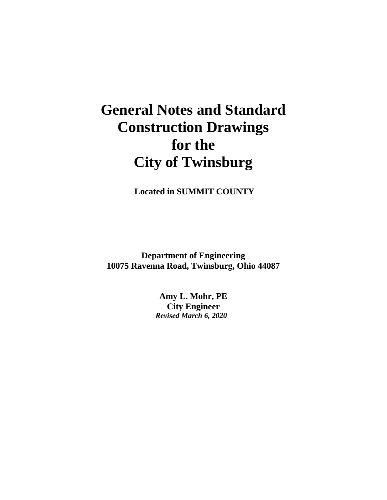# **General Notes and Standard Construction Drawings for the City of Twinsburg**

**Located in SUMMIT COUNTY**

**Department of Engineering 10075 Ravenna Road, Twinsburg, Ohio 44087**

> **Amy L. Mohr, PE City Engineer** *Revised March 6, 2020*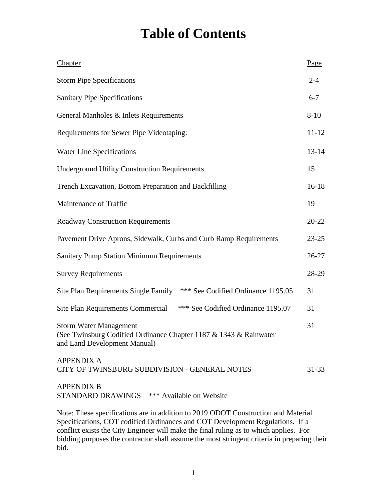# **Table of Contents**

| Chapter                                                                                                                            | Page      |
|------------------------------------------------------------------------------------------------------------------------------------|-----------|
| <b>Storm Pipe Specifications</b>                                                                                                   | $2 - 4$   |
| <b>Sanitary Pipe Specifications</b>                                                                                                | $6 - 7$   |
| General Manholes & Inlets Requirements                                                                                             | $8 - 10$  |
| Requirements for Sewer Pipe Videotaping:                                                                                           | $11 - 12$ |
| <b>Water Line Specifications</b>                                                                                                   | $13 - 14$ |
| <b>Underground Utility Construction Requirements</b>                                                                               | 15        |
| Trench Excavation, Bottom Preparation and Backfilling                                                                              | $16 - 18$ |
| Maintenance of Traffic                                                                                                             | 19        |
| <b>Roadway Construction Requirements</b>                                                                                           | $20 - 22$ |
| Pavement Drive Aprons, Sidewalk, Curbs and Curb Ramp Requirements                                                                  | $23 - 25$ |
| <b>Sanitary Pump Station Minimum Requirements</b>                                                                                  | $26 - 27$ |
| <b>Survey Requirements</b>                                                                                                         | 28-29     |
| *** See Codified Ordinance 1195.05<br>Site Plan Requirements Single Family                                                         | 31        |
| *** See Codified Ordinance 1195.07<br>Site Plan Requirements Commercial                                                            | 31        |
| <b>Storm Water Management</b><br>(See Twinsburg Codified Ordinance Chapter 1187 & 1343 & Rainwater<br>and Land Development Manual) | 31        |
| <b>APPENDIX A</b><br>CITY OF TWINSBURG SUBDIVISION - GENERAL NOTES                                                                 | $31 - 33$ |
| <b>APPENDIX B</b><br>STANDARD DRAWINGS *** Available on Website                                                                    |           |
| Note: These specifications are in addition to 2019 ODOT Construction and Material                                                  |           |

Specifications, COT codified Ordinances and COT Development Regulations. If a conflict exists the City Engineer will make the final ruling as to which applies. For bidding purposes the contractor shall assume the most stringent criteria in preparing their bid.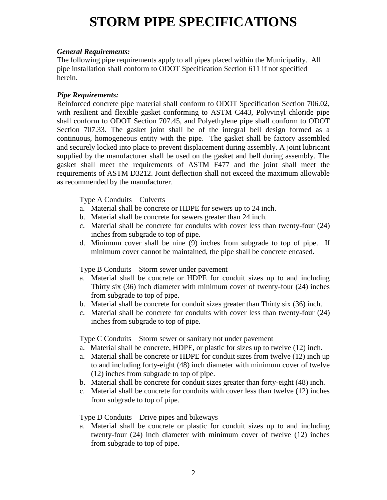# **STORM PIPE SPECIFICATIONS**

#### *General Requirements:*

The following pipe requirements apply to all pipes placed within the Municipality. All pipe installation shall conform to ODOT Specification Section 611 if not specified herein.

#### *Pipe Requirements:*

Reinforced concrete pipe material shall conform to ODOT Specification Section 706.02, with resilient and flexible gasket conforming to ASTM C443, Polyvinyl chloride pipe shall conform to ODOT Section 707.45, and Polyethylene pipe shall conform to ODOT Section 707.33. The gasket joint shall be of the integral bell design formed as a continuous, homogeneous entity with the pipe. The gasket shall be factory assembled and securely locked into place to prevent displacement during assembly. A joint lubricant supplied by the manufacturer shall be used on the gasket and bell during assembly. The gasket shall meet the requirements of ASTM F477 and the joint shall meet the requirements of ASTM D3212. Joint deflection shall not exceed the maximum allowable as recommended by the manufacturer.

Type A Conduits – Culverts

- a. Material shall be concrete or HDPE for sewers up to 24 inch.
- b. Material shall be concrete for sewers greater than 24 inch.
- c. Material shall be concrete for conduits with cover less than twenty-four (24) inches from subgrade to top of pipe.
- d. Minimum cover shall be nine (9) inches from subgrade to top of pipe. If minimum cover cannot be maintained, the pipe shall be concrete encased.

Type B Conduits – Storm sewer under pavement

- a. Material shall be concrete or HDPE for conduit sizes up to and including Thirty six (36) inch diameter with minimum cover of twenty-four (24) inches from subgrade to top of pipe.
- b. Material shall be concrete for conduit sizes greater than Thirty six (36) inch.
- c. Material shall be concrete for conduits with cover less than twenty-four (24) inches from subgrade to top of pipe.

Type C Conduits – Storm sewer or sanitary not under pavement

- a. Material shall be concrete, HDPE, or plastic for sizes up to twelve (12) inch.
- a. Material shall be concrete or HDPE for conduit sizes from twelve (12) inch up to and including forty-eight (48) inch diameter with minimum cover of twelve (12) inches from subgrade to top of pipe.
- b. Material shall be concrete for conduit sizes greater than forty-eight (48) inch.
- c. Material shall be concrete for conduits with cover less than twelve (12) inches from subgrade to top of pipe.

Type D Conduits – Drive pipes and bikeways

a. Material shall be concrete or plastic for conduit sizes up to and including twenty-four (24) inch diameter with minimum cover of twelve (12) inches from subgrade to top of pipe.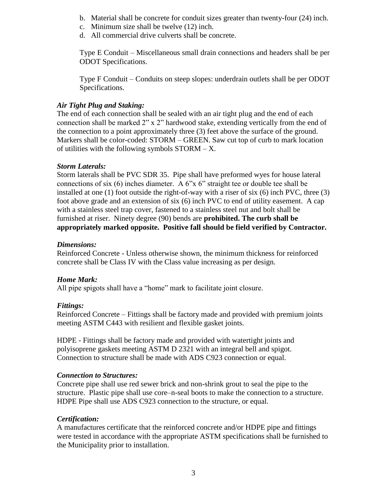- b. Material shall be concrete for conduit sizes greater than twenty-four (24) inch.
- c. Minimum size shall be twelve (12) inch.
- d. All commercial drive culverts shall be concrete.

Type E Conduit – Miscellaneous small drain connections and headers shall be per ODOT Specifications.

Type F Conduit – Conduits on steep slopes: underdrain outlets shall be per ODOT Specifications.

#### *Air Tight Plug and Staking:*

The end of each connection shall be sealed with an air tight plug and the end of each connection shall be marked 2" x 2" hardwood stake, extending vertically from the end of the connection to a point approximately three (3) feet above the surface of the ground. Markers shall be color-coded: STORM – GREEN. Saw cut top of curb to mark location of utilities with the following symbols  $STORM - X$ .

#### *Storm Laterals:*

Storm laterals shall be PVC SDR 35. Pipe shall have preformed wyes for house lateral connections of six (6) inches diameter. A 6"x 6" straight tee or double tee shall be installed at one (1) foot outside the right-of-way with a riser of six (6) inch PVC, three (3) foot above grade and an extension of six (6) inch PVC to end of utility easement. A cap with a stainless steel trap cover, fastened to a stainless steel nut and bolt shall be furnished at riser. Ninety degree (90) bends are **prohibited. The curb shall be appropriately marked opposite. Positive fall should be field verified by Contractor.** 

#### *Dimensions:*

Reinforced Concrete - Unless otherwise shown, the minimum thickness for reinforced concrete shall be Class IV with the Class value increasing as per design.

# *Home Mark:*

All pipe spigots shall have a "home" mark to facilitate joint closure.

#### *Fittings:*

Reinforced Concrete – Fittings shall be factory made and provided with premium joints meeting ASTM C443 with resilient and flexible gasket joints.

HDPE - Fittings shall be factory made and provided with watertight joints and polyisoprene gaskets meeting ASTM D 2321 with an integral bell and spigot. Connection to structure shall be made with ADS C923 connection or equal.

#### *Connection to Structures:*

Concrete pipe shall use red sewer brick and non-shrink grout to seal the pipe to the structure. Plastic pipe shall use core–n-seal boots to make the connection to a structure. HDPE Pipe shall use ADS C923 connection to the structure, or equal.

# *Certification:*

A manufactures certificate that the reinforced concrete and/or HDPE pipe and fittings were tested in accordance with the appropriate ASTM specifications shall be furnished to the Municipality prior to installation.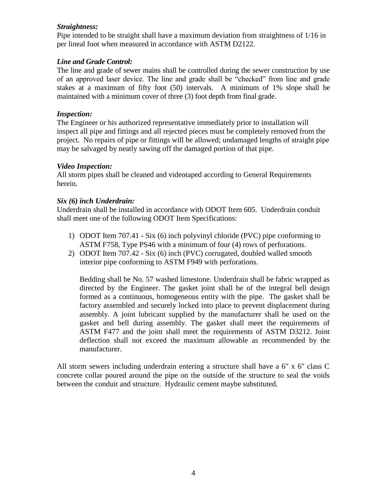#### *Straightness:*

Pipe intended to be straight shall have a maximum deviation from straightness of 1/16 in per lineal foot when measured in accordance with ASTM D2122.

# *Line and Grade Control:*

The line and grade of sewer mains shall be controlled during the sewer construction by use of an approved laser device. The line and grade shall be "checked" from line and grade stakes at a maximum of fifty foot (50) intervals. A minimum of 1% slope shall be maintained with a minimum cover of three (3) foot depth from final grade.

#### *Inspection:*

The Engineer or his authorized representative immediately prior to installation will inspect all pipe and fittings and all rejected pieces must be completely removed from the project. No repairs of pipe or fittings will be allowed; undamaged lengths of straight pipe may be salvaged by neatly sawing off the damaged portion of that pipe.

#### *Video Inspection:*

All storm pipes shall be cleaned and videotaped according to General Requirements herein*.*

#### *Six (6) inch Underdrain:*

Underdrain shall be installed in accordance with ODOT Item 605. Underdrain conduit shall meet one of the following ODOT Item Specifications:

- 1) ODOT Item 707.41 Six (6) inch polyvinyl chloride (PVC) pipe conforming to ASTM F758, Type PS46 with a minimum of four (4) rows of perforations.
- 2) ODOT Item 707.42 Six (6) inch (PVC) corrugated, doubled walled smooth interior pipe conforming to ASTM F949 with perforations.

Bedding shall be No. 57 washed limestone. Underdrain shall be fabric wrapped as directed by the Engineer. The gasket joint shall be of the integral bell design formed as a continuous, homogeneous entity with the pipe. The gasket shall be factory assembled and securely locked into place to prevent displacement during assembly. A joint lubricant supplied by the manufacturer shall be used on the gasket and bell during assembly. The gasket shall meet the requirements of ASTM F477 and the joint shall meet the requirements of ASTM D3212. Joint deflection shall not exceed the maximum allowable as recommended by the manufacturer.

All storm sewers including underdrain entering a structure shall have a 6" x 6" class C concrete collar poured around the pipe on the outside of the structure to seal the voids between the conduit and structure. Hydraulic cement maybe substituted.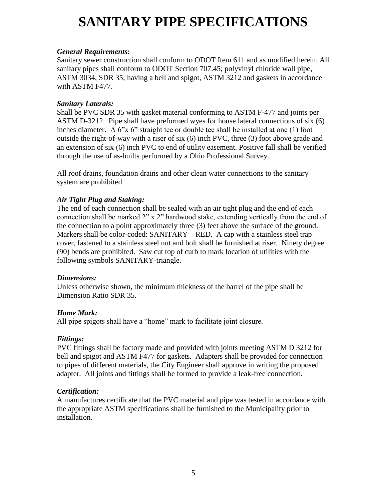# **SANITARY PIPE SPECIFICATIONS**

### *General Requirements:*

Sanitary sewer construction shall conform to ODOT Item 611 and as modified herein. All sanitary pipes shall conform to ODOT Section 707.45; polyvinyl chloride wall pipe, ASTM 3034, SDR 35; having a bell and spigot, ASTM 3212 and gaskets in accordance with ASTM F477.

#### *Sanitary Laterals:*

Shall be PVC SDR 35 with gasket material conforming to ASTM F-477 and joints per ASTM D-3212. Pipe shall have preformed wyes for house lateral connections of six (6) inches diameter. A 6"x 6" straight tee or double tee shall be installed at one (1) foot outside the right-of-way with a riser of six (6) inch PVC, three (3) foot above grade and an extension of six (6) inch PVC to end of utility easement. Positive fall shall be verified through the use of as-builts performed by a Ohio Professional Survey.

All roof drains, foundation drains and other clean water connections to the sanitary system are prohibited.

# *Air Tight Plug and Staking:*

The end of each connection shall be sealed with an air tight plug and the end of each connection shall be marked 2" x 2" hardwood stake, extending vertically from the end of the connection to a point approximately three (3) feet above the surface of the ground. Markers shall be color-coded: SANITARY – RED. A cap with a stainless steel trap cover, fastened to a stainless steel nut and bolt shall be furnished at riser. Ninety degree (90) bends are prohibited. Saw cut top of curb to mark location of utilities with the following symbols SANITARY-triangle.

#### *Dimensions:*

Unless otherwise shown, the minimum thickness of the barrel of the pipe shall be Dimension Ratio SDR 35.

# *Home Mark:*

All pipe spigots shall have a "home" mark to facilitate joint closure.

# *Fittings:*

PVC fittings shall be factory made and provided with joints meeting ASTM D 3212 for bell and spigot and ASTM F477 for gaskets. Adapters shall be provided for connection to pipes of different materials, the City Engineer shall approve in writing the proposed adapter. All joints and fittings shall be formed to provide a leak-free connection.

#### *Certification:*

A manufactures certificate that the PVC material and pipe was tested in accordance with the appropriate ASTM specifications shall be furnished to the Municipality prior to installation.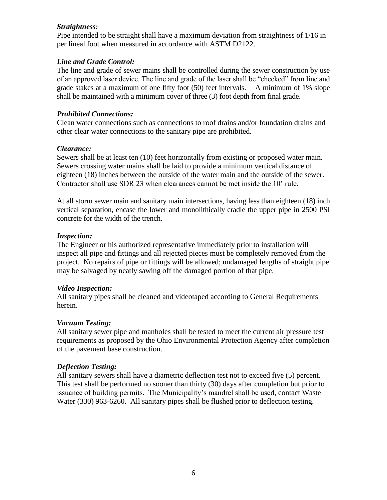#### *Straightness:*

Pipe intended to be straight shall have a maximum deviation from straightness of 1/16 in per lineal foot when measured in accordance with ASTM D2122.

### *Line and Grade Control:*

The line and grade of sewer mains shall be controlled during the sewer construction by use of an approved laser device. The line and grade of the laser shall be "checked" from line and grade stakes at a maximum of one fifty foot (50) feet intervals. A minimum of 1% slope shall be maintained with a minimum cover of three (3) foot depth from final grade.

#### *Prohibited Connections:*

Clean water connections such as connections to roof drains and/or foundation drains and other clear water connections to the sanitary pipe are prohibited.

#### *Clearance:*

Sewers shall be at least ten (10) feet horizontally from existing or proposed water main. Sewers crossing water mains shall be laid to provide a minimum vertical distance of eighteen (18) inches between the outside of the water main and the outside of the sewer. Contractor shall use SDR 23 when clearances cannot be met inside the 10' rule.

At all storm sewer main and sanitary main intersections, having less than eighteen (18) inch vertical separation, encase the lower and monolithically cradle the upper pipe in 2500 PSI concrete for the width of the trench.

#### *Inspection:*

The Engineer or his authorized representative immediately prior to installation will inspect all pipe and fittings and all rejected pieces must be completely removed from the project. No repairs of pipe or fittings will be allowed; undamaged lengths of straight pipe may be salvaged by neatly sawing off the damaged portion of that pipe.

# *Video Inspection:*

All sanitary pipes shall be cleaned and videotaped according to General Requirements herein.

# *Vacuum Testing:*

All sanitary sewer pipe and manholes shall be tested to meet the current air pressure test requirements as proposed by the Ohio Environmental Protection Agency after completion of the pavement base construction.

# *Deflection Testing:*

All sanitary sewers shall have a diametric deflection test not to exceed five (5) percent. This test shall be performed no sooner than thirty (30) days after completion but prior to issuance of building permits. The Municipality's mandrel shall be used, contact Waste Water (330) 963-6260. All sanitary pipes shall be flushed prior to deflection testing.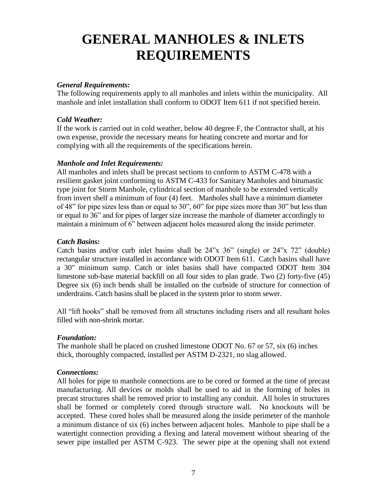# **GENERAL MANHOLES & INLETS REQUIREMENTS**

#### *General Requirements:*

The following requirements apply to all manholes and inlets within the municipality. All manhole and inlet installation shall conform to ODOT Item 611 if not specified herein.

#### *Cold Weather:*

If the work is carried out in cold weather, below 40 degree F, the Contractor shall, at his own expense, provide the necessary means for heating concrete and mortar and for complying with all the requirements of the specifications herein.

#### *Manhole and Inlet Requirements:*

All manholes and inlets shall be precast sections to conform to ASTM C-478 with a resilient gasket joint conforming to ASTM C-433 for Sanitary Manholes and bitumastic type joint for Storm Manhole, cylindrical section of manhole to be extended vertically from invert shelf a minimum of four (4) feet. Manholes shall have a minimum diameter of 48" for pipe sizes less than or equal to 30", 60" for pipe sizes more than 30" but less than or equal to 36" and for pipes of larger size increase the manhole of diameter accordingly to maintain a minimum of 6" between adjacent holes measured along the inside perimeter.

#### *Catch Basins:*

Catch basins and/or curb inlet basins shall be 24"x 36" (single) or 24"x 72" (double) rectangular structure installed in accordance with ODOT Item 611. Catch basins shall have a 30" minimum sump. Catch or inlet basins shall have compacted ODOT Item 304 limestone sub-base material backfill on all four sides to plan grade. Two (2) forty-five (45) Degree six (6) inch bends shall be installed on the curbside of structure for connection of underdrains. Catch basins shall be placed in the system prior to storm sewer.

All "lift hooks" shall be removed from all structures including risers and all resultant holes filled with non-shrink mortar.

# *Foundation:*

The manhole shall be placed on crushed limestone ODOT No. 67 or 57, six (6) inches thick, thoroughly compacted, installed per ASTM D-2321, no slag allowed.

#### *Connections:*

All holes for pipe to manhole connections are to be cored or formed at the time of precast manufacturing. All devices or molds shall be used to aid in the forming of holes in precast structures shall be removed prior to installing any conduit. All holes in structures shall be formed or completely cored through structure wall. No knockouts will be accepted. These cored holes shall be measured along the inside perimeter of the manhole a minimum distance of six (6) inches between adjacent holes. Manhole to pipe shall be a watertight connection providing a flexing and lateral movement without shearing of the sewer pipe installed per ASTM C-923. The sewer pipe at the opening shall not extend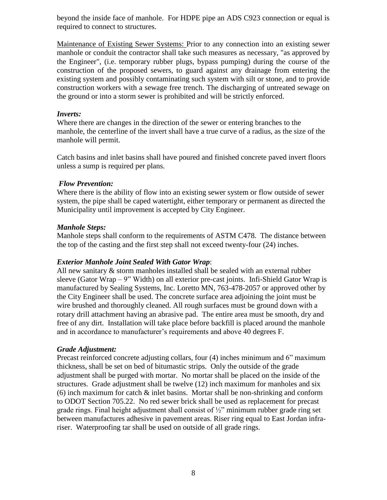beyond the inside face of manhole. For HDPE pipe an ADS C923 connection or equal is required to connect to structures.

Maintenance of Existing Sewer Systems: Prior to any connection into an existing sewer manhole or conduit the contractor shall take such measures as necessary, "as approved by the Engineer", (i.e. temporary rubber plugs, bypass pumping) during the course of the construction of the proposed sewers, to guard against any drainage from entering the existing system and possibly contaminating such system with silt or stone, and to provide construction workers with a sewage free trench. The discharging of untreated sewage on the ground or into a storm sewer is prohibited and will be strictly enforced.

# *Inverts:*

Where there are changes in the direction of the sewer or entering branches to the manhole, the centerline of the invert shall have a true curve of a radius, as the size of the manhole will permit.

Catch basins and inlet basins shall have poured and finished concrete paved invert floors unless a sump is required per plans.

#### *Flow Prevention:*

Where there is the ability of flow into an existing sewer system or flow outside of sewer system, the pipe shall be caped watertight, either temporary or permanent as directed the Municipality until improvement is accepted by City Engineer.

#### *Manhole Steps:*

Manhole steps shall conform to the requirements of ASTM C478. The distance between the top of the casting and the first step shall not exceed twenty-four (24) inches.

# *Exterior Manhole Joint Sealed With Gator Wrap*:

All new sanitary & storm manholes installed shall be sealed with an external rubber sleeve (Gator Wrap – 9" Width) on all exterior pre-cast joints. Infi-Shield Gator Wrap is manufactured by Sealing Systems, Inc. Loretto MN, 763-478-2057 or approved other by the City Engineer shall be used. The concrete surface area adjoining the joint must be wire brushed and thoroughly cleaned. All rough surfaces must be ground down with a rotary drill attachment having an abrasive pad. The entire area must be smooth, dry and free of any dirt. Installation will take place before backfill is placed around the manhole and in accordance to manufacturer's requirements and above 40 degrees F.

# *Grade Adjustment:*

Precast reinforced concrete adjusting collars, four (4) inches minimum and 6" maximum thickness, shall be set on bed of bitumastic strips. Only the outside of the grade adjustment shall be purged with mortar. No mortar shall be placed on the inside of the structures. Grade adjustment shall be twelve (12) inch maximum for manholes and six  $(6)$  inch maximum for catch  $\&$  inlet basins. Mortar shall be non-shrinking and conform to ODOT Section 705.22. No red sewer brick shall be used as replacement for precast grade rings. Final height adjustment shall consist of ½" minimum rubber grade ring set between manufactures adhesive in pavement areas. Riser ring equal to East Jordan infrariser. Waterproofing tar shall be used on outside of all grade rings.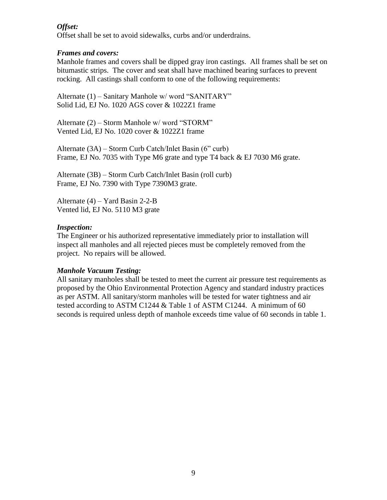# *Offset:*

Offset shall be set to avoid sidewalks, curbs and/or underdrains.

#### *Frames and covers:*

Manhole frames and covers shall be dipped gray iron castings. All frames shall be set on bitumastic strips. The cover and seat shall have machined bearing surfaces to prevent rocking. All castings shall conform to one of the following requirements:

Alternate (1) – Sanitary Manhole w/ word "SANITARY" Solid Lid, EJ No. 1020 AGS cover & 1022Z1 frame

Alternate (2) – Storm Manhole w/ word "STORM" Vented Lid, EJ No. 1020 cover & 1022Z1 frame

Alternate (3A) – Storm Curb Catch/Inlet Basin (6" curb) Frame, EJ No. 7035 with Type M6 grate and type T4 back & EJ 7030 M6 grate.

Alternate (3B) – Storm Curb Catch/Inlet Basin (roll curb) Frame, EJ No. 7390 with Type 7390M3 grate.

Alternate (4) – Yard Basin 2-2-B Vented lid, EJ No. 5110 M3 grate

#### *Inspection:*

The Engineer or his authorized representative immediately prior to installation will inspect all manholes and all rejected pieces must be completely removed from the project. No repairs will be allowed.

# *Manhole Vacuum Testing:*

All sanitary manholes shall be tested to meet the current air pressure test requirements as proposed by the Ohio Environmental Protection Agency and standard industry practices as per ASTM. All sanitary/storm manholes will be tested for water tightness and air tested according to ASTM C1244 & Table 1 of ASTM C1244. A minimum of 60 seconds is required unless depth of manhole exceeds time value of 60 seconds in table 1.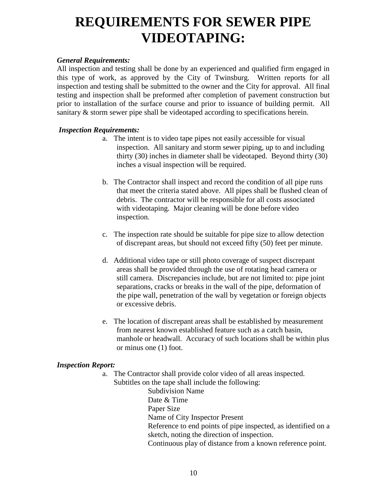# **REQUIREMENTS FOR SEWER PIPE VIDEOTAPING:**

### *General Requirements:*

All inspection and testing shall be done by an experienced and qualified firm engaged in this type of work, as approved by the City of Twinsburg. Written reports for all inspection and testing shall be submitted to the owner and the City for approval. All final testing and inspection shall be preformed after completion of pavement construction but prior to installation of the surface course and prior to issuance of building permit. All sanitary & storm sewer pipe shall be videotaped according to specifications herein.

#### *Inspection Requirements:*

- a. The intent is to video tape pipes not easily accessible for visual inspection. All sanitary and storm sewer piping, up to and including thirty (30) inches in diameter shall be videotaped. Beyond thirty (30) inches a visual inspection will be required.
- b. The Contractor shall inspect and record the condition of all pipe runs that meet the criteria stated above. All pipes shall be flushed clean of debris. The contractor will be responsible for all costs associated with videotaping. Major cleaning will be done before video inspection.
- c. The inspection rate should be suitable for pipe size to allow detection of discrepant areas, but should not exceed fifty (50) feet per minute.
- d. Additional video tape or still photo coverage of suspect discrepant areas shall be provided through the use of rotating head camera or still camera. Discrepancies include, but are not limited to: pipe joint separations, cracks or breaks in the wall of the pipe, deformation of the pipe wall, penetration of the wall by vegetation or foreign objects or excessive debris.
- e. The location of discrepant areas shall be established by measurement from nearest known established feature such as a catch basin, manhole or headwall. Accuracy of such locations shall be within plus or minus one (1) foot.

# *Inspection Report:*

a. The Contractor shall provide color video of all areas inspected. Subtitles on the tape shall include the following:

Subdivision Name Date & Time Paper Size Name of City Inspector Present Reference to end points of pipe inspected, as identified on a sketch, noting the direction of inspection. Continuous play of distance from a known reference point.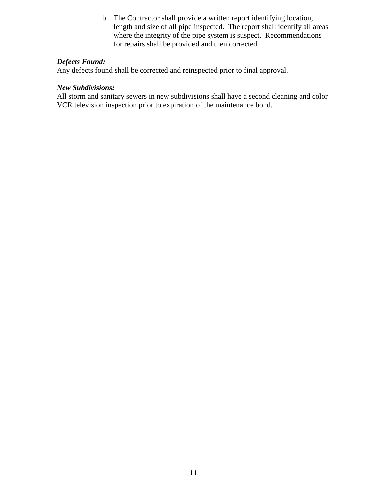b. The Contractor shall provide a written report identifying location, length and size of all pipe inspected. The report shall identify all areas where the integrity of the pipe system is suspect. Recommendations for repairs shall be provided and then corrected.

#### *Defects Found:*

Any defects found shall be corrected and reinspected prior to final approval.

### *New Subdivisions:*

All storm and sanitary sewers in new subdivisions shall have a second cleaning and color VCR television inspection prior to expiration of the maintenance bond.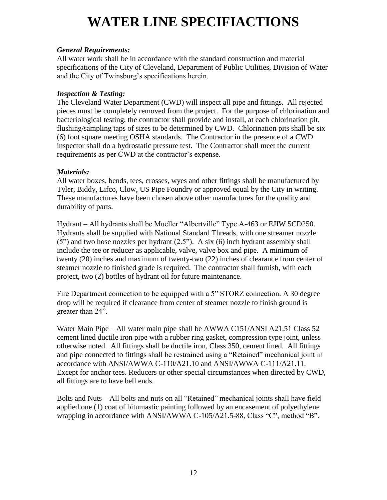# **WATER LINE SPECIFIACTIONS**

### *General Requirements:*

All water work shall be in accordance with the standard construction and material specifications of the City of Cleveland, Department of Public Utilities, Division of Water and the City of Twinsburg's specifications herein.

#### *Inspection & Testing:*

The Cleveland Water Department (CWD) will inspect all pipe and fittings. All rejected pieces must be completely removed from the project. For the purpose of chlorination and bacteriological testing, the contractor shall provide and install, at each chlorination pit, flushing/sampling taps of sizes to be determined by CWD. Chlorination pits shall be six (6) foot square meeting OSHA standards. The Contractor in the presence of a CWD inspector shall do a hydrostatic pressure test. The Contractor shall meet the current requirements as per CWD at the contractor's expense.

# *Materials:*

All water boxes, bends, tees, crosses, wyes and other fittings shall be manufactured by Tyler, Biddy, Lifco, Clow, US Pipe Foundry or approved equal by the City in writing. These manufactures have been chosen above other manufactures for the quality and durability of parts.

Hydrant – All hydrants shall be Mueller "Albertville" Type A-463 or EJIW 5CD250. Hydrants shall be supplied with National Standard Threads, with one streamer nozzle (5") and two hose nozzles per hydrant (2.5"). A six (6) inch hydrant assembly shall include the tee or reducer as applicable, valve, valve box and pipe. A minimum of twenty (20) inches and maximum of twenty-two (22) inches of clearance from center of steamer nozzle to finished grade is required. The contractor shall furnish, with each project, two (2) bottles of hydrant oil for future maintenance.

Fire Department connection to be equipped with a 5" STORZ connection. A 30 degree drop will be required if clearance from center of steamer nozzle to finish ground is greater than 24".

Water Main Pipe – All water main pipe shall be AWWA C151/ANSI A21.51 Class 52 cement lined ductile iron pipe with a rubber ring gasket, compression type joint, unless otherwise noted. All fittings shall be ductile iron, Class 350, cement lined. All fittings and pipe connected to fittings shall be restrained using a "Retained" mechanical joint in accordance with ANSI/AWWA C-110/A21.10 and ANSI/AWWA C-111/A21.11. Except for anchor tees. Reducers or other special circumstances when directed by CWD, all fittings are to have bell ends.

Bolts and Nuts – All bolts and nuts on all "Retained" mechanical joints shall have field applied one (1) coat of bitumastic painting followed by an encasement of polyethylene wrapping in accordance with ANSI/AWWA C-105/A21.5-88, Class "C", method "B".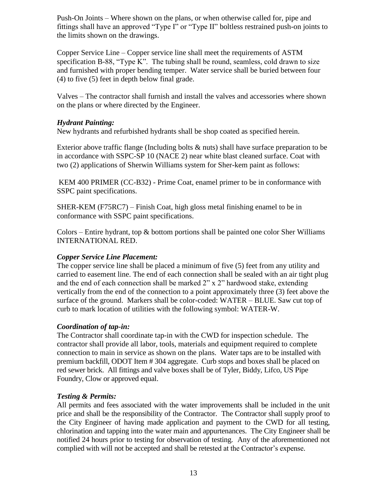Push-On Joints – Where shown on the plans, or when otherwise called for, pipe and fittings shall have an approved "Type I" or "Type II" boltless restrained push-on joints to the limits shown on the drawings.

Copper Service Line – Copper service line shall meet the requirements of ASTM specification B-88, "Type K". The tubing shall be round, seamless, cold drawn to size and furnished with proper bending temper. Water service shall be buried between four (4) to five (5) feet in depth below final grade.

Valves – The contractor shall furnish and install the valves and accessories where shown on the plans or where directed by the Engineer.

# *Hydrant Painting:*

New hydrants and refurbished hydrants shall be shop coated as specified herein.

Exterior above traffic flange (Including bolts & nuts) shall have surface preparation to be in accordance with SSPC-SP 10 (NACE 2) near white blast cleaned surface. Coat with two (2) applications of Sherwin Williams system for Sher-kem paint as follows:

KEM 400 PRIMER (CC-B32) - Prime Coat, enamel primer to be in conformance with SSPC paint specifications.

SHER-KEM (F75RC7) – Finish Coat, high gloss metal finishing enamel to be in conformance with SSPC paint specifications.

Colors – Entire hydrant, top  $\&$  bottom portions shall be painted one color Sher Williams INTERNATIONAL RED.

# *Copper Service Line Placement:*

The copper service line shall be placed a minimum of five (5) feet from any utility and carried to easement line. The end of each connection shall be sealed with an air tight plug and the end of each connection shall be marked 2" x 2" hardwood stake, extending vertically from the end of the connection to a point approximately three (3) feet above the surface of the ground. Markers shall be color-coded: WATER – BLUE. Saw cut top of curb to mark location of utilities with the following symbol: WATER-W.

# *Coordination of tap-in:*

The Contractor shall coordinate tap-in with the CWD for inspection schedule. The contractor shall provide all labor, tools, materials and equipment required to complete connection to main in service as shown on the plans. Water taps are to be installed with premium backfill, ODOT Item # 304 aggregate. Curb stops and boxes shall be placed on red sewer brick. All fittings and valve boxes shall be of Tyler, Biddy, Lifco, US Pipe Foundry, Clow or approved equal.

# *Testing & Permits:*

All permits and fees associated with the water improvements shall be included in the unit price and shall be the responsibility of the Contractor. The Contractor shall supply proof to the City Engineer of having made application and payment to the CWD for all testing, chlorination and tapping into the water main and appurtenances. The City Engineer shall be notified 24 hours prior to testing for observation of testing. Any of the aforementioned not complied with will not be accepted and shall be retested at the Contractor's expense.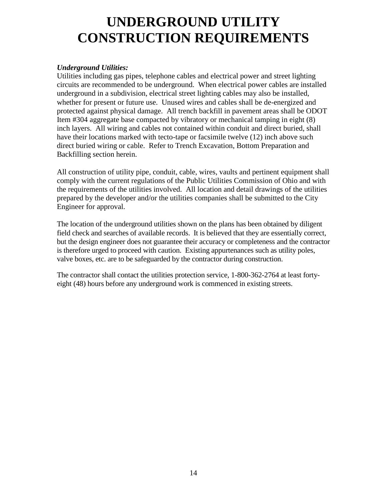# **UNDERGROUND UTILITY CONSTRUCTION REQUIREMENTS**

# *Underground Utilities:*

Utilities including gas pipes, telephone cables and electrical power and street lighting circuits are recommended to be underground. When electrical power cables are installed underground in a subdivision, electrical street lighting cables may also be installed, whether for present or future use. Unused wires and cables shall be de-energized and protected against physical damage. All trench backfill in pavement areas shall be ODOT Item #304 aggregate base compacted by vibratory or mechanical tamping in eight (8) inch layers. All wiring and cables not contained within conduit and direct buried, shall have their locations marked with tecto-tape or facsimile twelve (12) inch above such direct buried wiring or cable. Refer to Trench Excavation, Bottom Preparation and Backfilling section herein.

All construction of utility pipe, conduit, cable, wires, vaults and pertinent equipment shall comply with the current regulations of the Public Utilities Commission of Ohio and with the requirements of the utilities involved. All location and detail drawings of the utilities prepared by the developer and/or the utilities companies shall be submitted to the City Engineer for approval.

The location of the underground utilities shown on the plans has been obtained by diligent field check and searches of available records. It is believed that they are essentially correct, but the design engineer does not guarantee their accuracy or completeness and the contractor is therefore urged to proceed with caution. Existing appurtenances such as utility poles, valve boxes, etc. are to be safeguarded by the contractor during construction.

The contractor shall contact the utilities protection service, 1-800-362-2764 at least fortyeight (48) hours before any underground work is commenced in existing streets.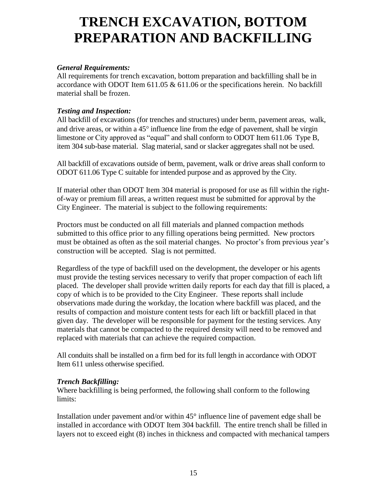# **TRENCH EXCAVATION, BOTTOM PREPARATION AND BACKFILLING**

# *General Requirements:*

All requirements for trench excavation, bottom preparation and backfilling shall be in accordance with ODOT Item  $611.05 \& 611.06$  or the specifications herein. No backfill material shall be frozen.

# *Testing and Inspection:*

All backfill of excavations (for trenches and structures) under berm, pavement areas, walk, and drive areas, or within a  $45^\circ$  influence line from the edge of pavement, shall be virgin limestone or City approved as "equal" and shall conform to ODOT Item 611.06 Type B, item 304 sub-base material. Slag material, sand or slacker aggregates shall not be used.

All backfill of excavations outside of berm, pavement, walk or drive areas shall conform to ODOT 611.06 Type C suitable for intended purpose and as approved by the City.

If material other than ODOT Item 304 material is proposed for use as fill within the rightof-way or premium fill areas, a written request must be submitted for approval by the City Engineer. The material is subject to the following requirements:

Proctors must be conducted on all fill materials and planned compaction methods submitted to this office prior to any filling operations being permitted. New proctors must be obtained as often as the soil material changes. No proctor's from previous year's construction will be accepted. Slag is not permitted.

Regardless of the type of backfill used on the development, the developer or his agents must provide the testing services necessary to verify that proper compaction of each lift placed. The developer shall provide written daily reports for each day that fill is placed, a copy of which is to be provided to the City Engineer. These reports shall include observations made during the workday, the location where backfill was placed, and the results of compaction and moisture content tests for each lift or backfill placed in that given day. The developer will be responsible for payment for the testing services. Any materials that cannot be compacted to the required density will need to be removed and replaced with materials that can achieve the required compaction.

All conduits shall be installed on a firm bed for its full length in accordance with ODOT Item 611 unless otherwise specified.

# *Trench Backfilling:*

Where backfilling is being performed, the following shall conform to the following limits:

Installation under pavement and/or within 45° influence line of pavement edge shall be installed in accordance with ODOT Item 304 backfill. The entire trench shall be filled in layers not to exceed eight (8) inches in thickness and compacted with mechanical tampers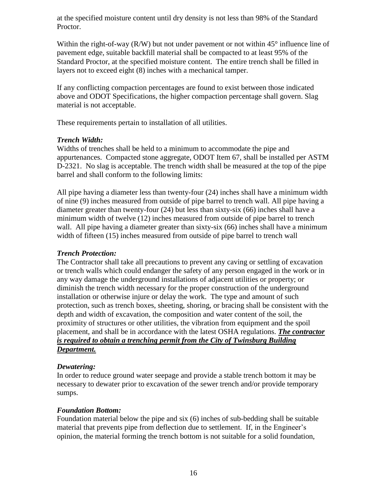at the specified moisture content until dry density is not less than 98% of the Standard Proctor.

Within the right-of-way  $(R/W)$  but not under pavement or not within 45 $\degree$  influence line of pavement edge, suitable backfill material shall be compacted to at least 95% of the Standard Proctor, at the specified moisture content. The entire trench shall be filled in layers not to exceed eight (8) inches with a mechanical tamper.

If any conflicting compaction percentages are found to exist between those indicated above and ODOT Specifications, the higher compaction percentage shall govern. Slag material is not acceptable.

These requirements pertain to installation of all utilities.

# *Trench Width:*

Widths of trenches shall be held to a minimum to accommodate the pipe and appurtenances. Compacted stone aggregate, ODOT Item 67, shall be installed per ASTM D-2321. No slag is acceptable. The trench width shall be measured at the top of the pipe barrel and shall conform to the following limits:

All pipe having a diameter less than twenty-four (24) inches shall have a minimum width of nine (9) inches measured from outside of pipe barrel to trench wall. All pipe having a diameter greater than twenty-four (24) but less than sixty-six (66) inches shall have a minimum width of twelve (12) inches measured from outside of pipe barrel to trench wall. All pipe having a diameter greater than sixty-six (66) inches shall have a minimum width of fifteen (15) inches measured from outside of pipe barrel to trench wall

### *Trench Protection:*

The Contractor shall take all precautions to prevent any caving or settling of excavation or trench walls which could endanger the safety of any person engaged in the work or in any way damage the underground installations of adjacent utilities or property; or diminish the trench width necessary for the proper construction of the underground installation or otherwise injure or delay the work. The type and amount of such protection, such as trench boxes, sheeting, shoring, or bracing shall be consistent with the depth and width of excavation, the composition and water content of the soil, the proximity of structures or other utilities, the vibration from equipment and the spoil placement, and shall be in accordance with the latest OSHA regulations. *The contractor is required to obtain a trenching permit from the City of Twinsburg Building Department.*

# *Dewatering:*

In order to reduce ground water seepage and provide a stable trench bottom it may be necessary to dewater prior to excavation of the sewer trench and/or provide temporary sumps.

# *Foundation Bottom:*

Foundation material below the pipe and six (6) inches of sub-bedding shall be suitable material that prevents pipe from deflection due to settlement. If, in the Engineer's opinion, the material forming the trench bottom is not suitable for a solid foundation,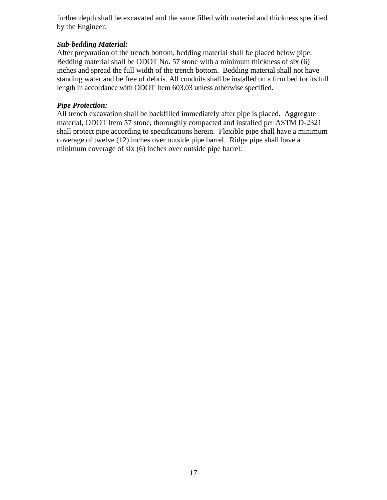further depth shall be excavated and the same filled with material and thickness specified by the Engineer.

# *Sub-bedding Material:*

After preparation of the trench bottom, bedding material shall be placed below pipe. Bedding material shall be ODOT No. 57 stone with a minimum thickness of six (6) inches and spread the full width of the trench bottom. Bedding material shall not have standing water and be free of debris. All conduits shall be installed on a firm bed for its full length in accordance with ODOT Item 603.03 unless otherwise specified.

# *Pipe Protection:*

All trench excavation shall be backfilled immediately after pipe is placed. Aggregate material, ODOT Item 57 stone, thoroughly compacted and installed per ASTM D-2321 shall protect pipe according to specifications herein. Flexible pipe shall have a minimum coverage of twelve (12) inches over outside pipe barrel. Ridge pipe shall have a minimum coverage of six (6) inches over outside pipe barrel.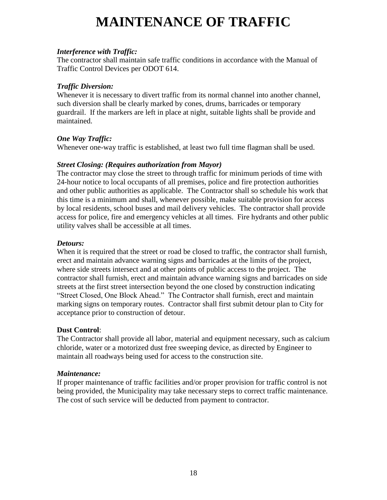# **MAINTENANCE OF TRAFFIC**

### *Interference with Traffic:*

The contractor shall maintain safe traffic conditions in accordance with the Manual of Traffic Control Devices per ODOT 614.

### *Traffic Diversion:*

Whenever it is necessary to divert traffic from its normal channel into another channel, such diversion shall be clearly marked by cones, drums, barricades or temporary guardrail. If the markers are left in place at night, suitable lights shall be provide and maintained.

# *One Way Traffic:*

Whenever one-way traffic is established, at least two full time flagman shall be used.

#### *Street Closing: (Requires authorization from Mayor)*

The contractor may close the street to through traffic for minimum periods of time with 24-hour notice to local occupants of all premises, police and fire protection authorities and other public authorities as applicable. The Contractor shall so schedule his work that this time is a minimum and shall, whenever possible, make suitable provision for access by local residents, school buses and mail delivery vehicles. The contractor shall provide access for police, fire and emergency vehicles at all times. Fire hydrants and other public utility valves shall be accessible at all times.

#### *Detours:*

When it is required that the street or road be closed to traffic, the contractor shall furnish, erect and maintain advance warning signs and barricades at the limits of the project, where side streets intersect and at other points of public access to the project. The contractor shall furnish, erect and maintain advance warning signs and barricades on side streets at the first street intersection beyond the one closed by construction indicating "Street Closed, One Block Ahead." The Contractor shall furnish, erect and maintain marking signs on temporary routes. Contractor shall first submit detour plan to City for acceptance prior to construction of detour.

# **Dust Control**:

The Contractor shall provide all labor, material and equipment necessary, such as calcium chloride, water or a motorized dust free sweeping device, as directed by Engineer to maintain all roadways being used for access to the construction site.

# *Maintenance:*

If proper maintenance of traffic facilities and/or proper provision for traffic control is not being provided, the Municipality may take necessary steps to correct traffic maintenance. The cost of such service will be deducted from payment to contractor.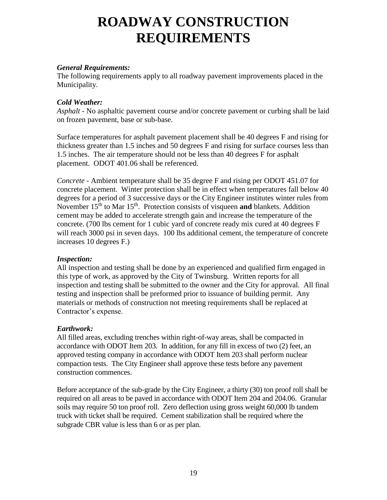# **ROADWAY CONSTRUCTION REQUIREMENTS**

#### *General Requirements:*

The following requirements apply to all roadway pavement improvements placed in the Municipality.

### *Cold Weather:*

*Asphalt -* No asphaltic pavement course and/or concrete pavement or curbing shall be laid on frozen pavement, base or sub-base.

Surface temperatures for asphalt pavement placement shall be 40 degrees F and rising for thickness greater than 1.5 inches and 50 degrees F and rising for surface courses less than 1.5 inches. The air temperature should not be less than 40 degrees F for asphalt placement. ODOT 401.06 shall be referenced.

*Concrete -* Ambient temperature shall be 35 degree F and rising per ODOT 451.07 for concrete placement. Winter protection shall be in effect when temperatures fall below 40 degrees for a period of 3 successive days or the City Engineer institutes winter rules from November 15<sup>th</sup> to Mar 15<sup>th</sup>. Protection consists of visqueen **and** blankets. Addition cement may be added to accelerate strength gain and increase the temperature of the concrete. (700 lbs cement for 1 cubic yard of concrete ready mix cured at 40 degrees F will reach 3000 psi in seven days. 100 lbs additional cement, the temperature of concrete increases 10 degrees F.)

# *Inspection:*

All inspection and testing shall be done by an experienced and qualified firm engaged in this type of work, as approved by the City of Twinsburg. Written reports for all inspection and testing shall be submitted to the owner and the City for approval. All final testing and inspection shall be preformed prior to issuance of building permit. Any materials or methods of construction not meeting requirements shall be replaced at Contractor's expense.

#### *Earthwork:*

All filled areas, excluding trenches within right-of-way areas, shall be compacted in accordance with ODOT Item 203. In addition, for any fill in excess of two (2) feet, an approved testing company in accordance with ODOT Item 203 shall perform nuclear compaction tests. The City Engineer shall approve these tests before any pavement construction commences.

Before acceptance of the sub-grade by the City Engineer, a thirty (30) ton proof roll shall be required on all areas to be paved in accordance with ODOT Item 204 and 204.06. Granular soils may require 50 ton proof roll. Zero deflection using gross weight 60,000 lb tandem truck with ticket shall be required. Cement stabilization shall be required where the subgrade CBR value is less than 6 or as per plan.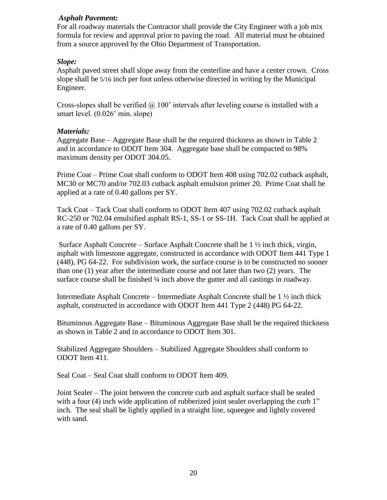### *Asphalt Pavement:*

For all roadway materials the Contractor shall provide the City Engineer with a job mix formula for review and approval prior to paving the road. All material must be obtained from a source approved by the Ohio Department of Transportation.

### *Slope:*

Asphalt paved street shall slope away from the centerline and have a center crown. Cross slope shall be 5/16 inch per foot unless otherwise directed in writing by the Municipal Engineer.

Cross-slopes shall be verified  $\omega$  100' intervals after leveling course is installed with a smart level. (0.026' min. slope)

#### *Materials:*

Aggregate Base – Aggregate Base shall be the required thickness as shown in Table 2 and in accordance to ODOT Item 304. Aggregate base shall be compacted to 98% maximum density per ODOT 304.05.

Prime Coat – Prime Coat shall conform to ODOT Item 408 using 702.02 cutback asphalt, MC30 or MC70 and/or 702.03 cutback asphalt emulsion primer 20. Prime Coat shall be applied at a rate of 0.40 gallons per SY.

Tack Coat – Tack Coat shall conform to ODOT Item 407 using 702.02 cutback asphalt RC-250 or 702.04 emulsified asphalt RS-1, SS-1 or SS-1H. Tack Coat shall be applied at a rate of 0.40 gallons per SY.

Surface Asphalt Concrete – Surface Asphalt Concrete shall be  $1 \frac{1}{2}$  inch thick, virgin, asphalt with limestone aggregate, constructed in accordance with ODOT Item 441 Type 1 (448), PG 64-22. For subdivision work, the surface course is to be constructed no sooner than one (1) year after the intermediate course and not later than two (2) years. The surface course shall be finished  $\frac{1}{4}$  inch above the gutter and all castings in roadway.

Intermediate Asphalt Concrete – Intermediate Asphalt Concrete shall be 1 ½ inch thick asphalt, constructed in accordance with ODOT Item 441 Type 2 (448) PG 64-22.

Bituminous Aggregate Base – Bituminous Aggregate Base shall be the required thickness as shown in Table 2 and in accordance to ODOT Item 301.

Stabilized Aggregate Shoulders – Stabilized Aggregate Shoulders shall conform to ODOT Item 411.

Seal Coat – Seal Coat shall conform to ODOT Item 409.

Joint Sealer – The joint between the concrete curb and asphalt surface shall be sealed with a four (4) inch wide application of rubberized joint sealer overlapping the curb 1" inch. The seal shall be lightly applied in a straight line, squeegee and lightly covered with sand.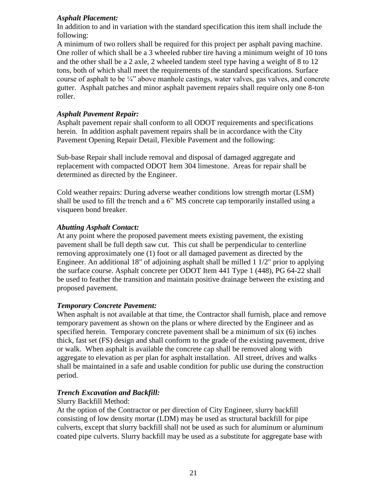# *Asphalt Placement:*

In addition to and in variation with the standard specification this item shall include the following:

A minimum of two rollers shall be required for this project per asphalt paving machine. One roller of which shall be a 3 wheeled rubber tire having a minimum weight of 10 tons and the other shall be a 2 axle, 2 wheeled tandem steel type having a weight of 8 to 12 tons, both of which shall meet the requirements of the standard specifications. Surface course of asphalt to be  $\frac{1}{4}$ " above manhole castings, water valves, gas valves, and concrete gutter. Asphalt patches and minor asphalt pavement repairs shall require only one 8-ton roller.

### *Asphalt Pavement Repair:*

Asphalt pavement repair shall conform to all ODOT requirements and specifications herein. In addition asphalt pavement repairs shall be in accordance with the City Pavement Opening Repair Detail, Flexible Pavement and the following:

Sub-base Repair shall include removal and disposal of damaged aggregate and replacement with compacted ODOT Item 304 limestone. Areas for repair shall be determined as directed by the Engineer.

Cold weather repairs: During adverse weather conditions low strength mortar (LSM) shall be used to fill the trench and a 6" MS concrete cap temporarily installed using a visqueen bond breaker.

#### *Abutting Asphalt Contact:*

At any point where the proposed pavement meets existing pavement, the existing pavement shall be full depth saw cut. This cut shall be perpendicular to centerline removing approximately one (1) foot or all damaged pavement as directed by the Engineer. An additional 18" of adjoining asphalt shall be milled  $1\frac{1}{2}$ " prior to applying the surface course. Asphalt concrete per ODOT Item 441 Type 1 (448), PG 64-22 shall be used to feather the transition and maintain positive drainage between the existing and proposed pavement.

#### *Temporary Concrete Pavement:*

When asphalt is not available at that time, the Contractor shall furnish, place and remove temporary pavement as shown on the plans or where directed by the Engineer and as specified herein. Temporary concrete pavement shall be a minimum of six (6) inches thick, fast set (FS) design and shall conform to the grade of the existing pavement, drive or walk. When asphalt is available the concrete cap shall be removed along with aggregate to elevation as per plan for asphalt installation. All street, drives and walks shall be maintained in a safe and usable condition for public use during the construction period.

# *Trench Excavation and Backfill:*

# Slurry Backfill Method:

At the option of the Contractor or per direction of City Engineer, slurry backfill consisting of low density mortar (LDM) may be used as structural backfill for pipe culverts, except that slurry backfill shall not be used as such for aluminum or aluminum coated pipe culverts. Slurry backfill may be used as a substitute for aggregate base with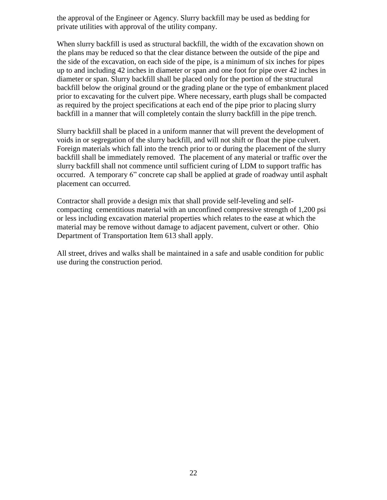the approval of the Engineer or Agency. Slurry backfill may be used as bedding for private utilities with approval of the utility company.

When slurry backfill is used as structural backfill, the width of the excavation shown on the plans may be reduced so that the clear distance between the outside of the pipe and the side of the excavation, on each side of the pipe, is a minimum of six inches for pipes up to and including 42 inches in diameter or span and one foot for pipe over 42 inches in diameter or span. Slurry backfill shall be placed only for the portion of the structural backfill below the original ground or the grading plane or the type of embankment placed prior to excavating for the culvert pipe. Where necessary, earth plugs shall be compacted as required by the project specifications at each end of the pipe prior to placing slurry backfill in a manner that will completely contain the slurry backfill in the pipe trench.

Slurry backfill shall be placed in a uniform manner that will prevent the development of voids in or segregation of the slurry backfill, and will not shift or float the pipe culvert. Foreign materials which fall into the trench prior to or during the placement of the slurry backfill shall be immediately removed. The placement of any material or traffic over the slurry backfill shall not commence until sufficient curing of LDM to support traffic has occurred. A temporary 6" concrete cap shall be applied at grade of roadway until asphalt placement can occurred.

Contractor shall provide a design mix that shall provide self-leveling and selfcompacting cementitious material with an unconfined compressive strength of 1,200 psi or less including excavation material properties which relates to the ease at which the material may be remove without damage to adjacent pavement, culvert or other. Ohio Department of Transportation Item 613 shall apply.

All street, drives and walks shall be maintained in a safe and usable condition for public use during the construction period.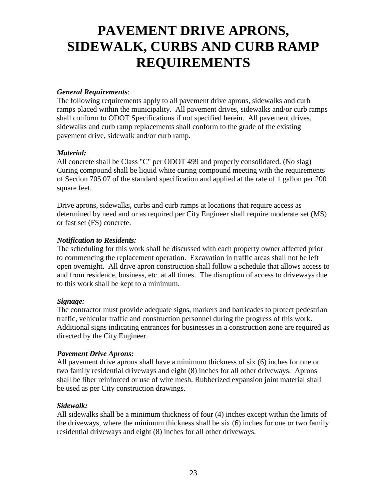# **PAVEMENT DRIVE APRONS, SIDEWALK, CURBS AND CURB RAMP REQUIREMENTS**

# *General Requirements*:

The following requirements apply to all pavement drive aprons, sidewalks and curb ramps placed within the municipality. All pavement drives, sidewalks and/or curb ramps shall conform to ODOT Specifications if not specified herein. All pavement drives, sidewalks and curb ramp replacements shall conform to the grade of the existing pavement drive, sidewalk and/or curb ramp.

# *Material:*

All concrete shall be Class "C" per ODOT 499 and properly consolidated. (No slag) Curing compound shall be liquid white curing compound meeting with the requirements of Section 705.07 of the standard specification and applied at the rate of 1 gallon per 200 square feet.

Drive aprons, sidewalks, curbs and curb ramps at locations that require access as determined by need and or as required per City Engineer shall require moderate set (MS) or fast set (FS) concrete.

# *Notification to Residents:*

The scheduling for this work shall be discussed with each property owner affected prior to commencing the replacement operation. Excavation in traffic areas shall not be left open overnight. All drive apron construction shall follow a schedule that allows access to and from residence, business, etc. at all times. The disruption of access to driveways due to this work shall be kept to a minimum.

# *Signage:*

The contractor must provide adequate signs, markers and barricades to protect pedestrian traffic, vehicular traffic and construction personnel during the progress of this work. Additional signs indicating entrances for businesses in a construction zone are required as directed by the City Engineer.

# *Pavement Drive Aprons:*

All pavement drive aprons shall have a minimum thickness of six (6) inches for one or two family residential driveways and eight (8) inches for all other driveways. Aprons shall be fiber reinforced or use of wire mesh. Rubberized expansion joint material shall be used as per City construction drawings.

# *Sidewalk:*

All sidewalks shall be a minimum thickness of four (4) inches except within the limits of the driveways, where the minimum thickness shall be six (6) inches for one or two family residential driveways and eight (8) inches for all other driveways.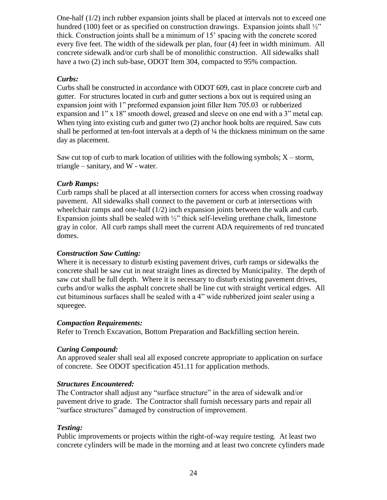One-half (1/2) inch rubber expansion joints shall be placed at intervals not to exceed one hundred (100) feet or as specified on construction drawings. Expansion joints shall  $\frac{1}{2}$ " thick. Construction joints shall be a minimum of 15' spacing with the concrete scored every five feet. The width of the sidewalk per plan, four (4) feet in width minimum. All concrete sidewalk and/or curb shall be of monolithic construction. All sidewalks shall have a two (2) inch sub-base, ODOT Item 304, compacted to 95% compaction.

### *Curbs:*

Curbs shall be constructed in accordance with ODOT 609, cast in place concrete curb and gutter. For structures located in curb and gutter sections a box out is required using an expansion joint with 1" preformed expansion joint filler Item 705.03 or rubberized expansion and 1" x 18" smooth dowel, greased and sleeve on one end with a 3" metal cap. When tying into existing curb and gutter two  $(2)$  anchor hook bolts are required. Saw cuts shall be performed at ten-foot intervals at a depth of ¼ the thickness minimum on the same day as placement.

Saw cut top of curb to mark location of utilities with the following symbols;  $X$  – storm, triangle – sanitary, and W - water.

# *Curb Ramps:*

Curb ramps shall be placed at all intersection corners for access when crossing roadway pavement. All sidewalks shall connect to the pavement or curb at intersections with wheelchair ramps and one-half  $(1/2)$  inch expansion joints between the walk and curb. Expansion joints shall be sealed with  $\frac{1}{2}$ " thick self-leveling urethane chalk, limestone gray in color. All curb ramps shall meet the current ADA requirements of red truncated domes.

### *Construction Saw Cutting:*

Where it is necessary to disturb existing pavement drives, curb ramps or sidewalks the concrete shall be saw cut in neat straight lines as directed by Municipality. The depth of saw cut shall be full depth. Where it is necessary to disturb existing pavement drives, curbs and/or walks the asphalt concrete shall be line cut with straight vertical edges. All cut bituminous surfaces shall be sealed with a 4" wide rubberized joint sealer using a squeegee.

#### *Compaction Requirements:*

Refer to Trench Excavation, Bottom Preparation and Backfilling section herein.

# *Curing Compound:*

An approved sealer shall seal all exposed concrete appropriate to application on surface of concrete. See ODOT specification 451.11 for application methods.

#### *Structures Encountered:*

The Contractor shall adjust any "surface structure" in the area of sidewalk and/or pavement drive to grade. The Contractor shall furnish necessary parts and repair all "surface structures" damaged by construction of improvement.

# *Testing:*

Public improvements or projects within the right-of-way require testing. At least two concrete cylinders will be made in the morning and at least two concrete cylinders made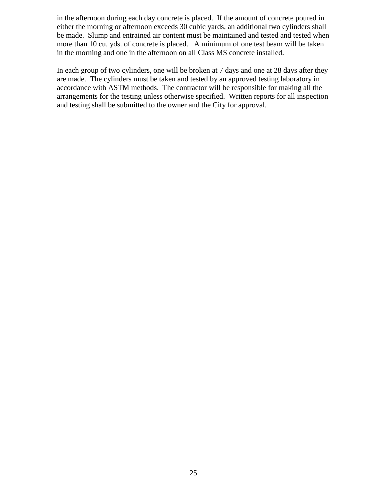in the afternoon during each day concrete is placed. If the amount of concrete poured in either the morning or afternoon exceeds 30 cubic yards, an additional two cylinders shall be made. Slump and entrained air content must be maintained and tested and tested when more than 10 cu. yds. of concrete is placed. A minimum of one test beam will be taken in the morning and one in the afternoon on all Class MS concrete installed.

In each group of two cylinders, one will be broken at 7 days and one at 28 days after they are made. The cylinders must be taken and tested by an approved testing laboratory in accordance with ASTM methods. The contractor will be responsible for making all the arrangements for the testing unless otherwise specified. Written reports for all inspection and testing shall be submitted to the owner and the City for approval.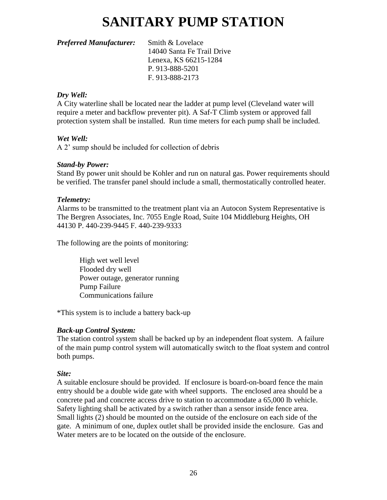# **SANITARY PUMP STATION**

### *Preferred Manufacturer:* Smith & Lovelace

14040 Santa Fe Trail Drive Lenexa, KS 66215-1284 P. 913-888-5201 F. 913-888-2173

# *Dry Well:*

A City waterline shall be located near the ladder at pump level (Cleveland water will require a meter and backflow preventer pit). A Saf-T Climb system or approved fall protection system shall be installed. Run time meters for each pump shall be included.

#### *Wet Well:*

A 2' sump should be included for collection of debris

#### *Stand-by Power:*

Stand By power unit should be Kohler and run on natural gas. Power requirements should be verified. The transfer panel should include a small, thermostatically controlled heater.

#### *Telemetry:*

Alarms to be transmitted to the treatment plant via an Autocon System Representative is The Bergren Associates, Inc. 7055 Engle Road, Suite 104 Middleburg Heights, OH 44130 P. 440-239-9445 F. 440-239-9333

The following are the points of monitoring:

High wet well level Flooded dry well Power outage, generator running Pump Failure Communications failure

\*This system is to include a battery back-up

# *Back-up Control System:*

The station control system shall be backed up by an independent float system. A failure of the main pump control system will automatically switch to the float system and control both pumps.

# *Site:*

A suitable enclosure should be provided. If enclosure is board-on-board fence the main entry should be a double wide gate with wheel supports. The enclosed area should be a concrete pad and concrete access drive to station to accommodate a 65,000 lb vehicle. Safety lighting shall be activated by a switch rather than a sensor inside fence area. Small lights (2) should be mounted on the outside of the enclosure on each side of the gate. A minimum of one, duplex outlet shall be provided inside the enclosure. Gas and Water meters are to be located on the outside of the enclosure.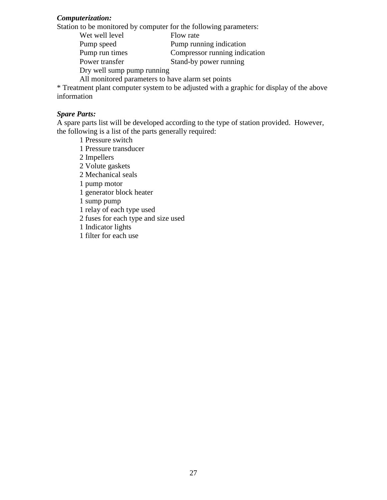#### *Computerization:*

Station to be monitored by computer for the following parameters:

Wet well level Flow rate Pump speed Pump running indication Pump run times Compressor running indication Power transfer Stand-by power running Dry well sump pump running All monitored parameters to have alarm set points

\* Treatment plant computer system to be adjusted with a graphic for display of the above information

#### *Spare Parts:*

A spare parts list will be developed according to the type of station provided. However, the following is a list of the parts generally required:

1 Pressure switch

- 1 Pressure transducer
- 2 Impellers
- 2 Volute gaskets
- 2 Mechanical seals
- 1 pump motor
- 1 generator block heater
- 1 sump pump
- 1 relay of each type used
- 2 fuses for each type and size used
- 1 Indicator lights
- 1 filter for each use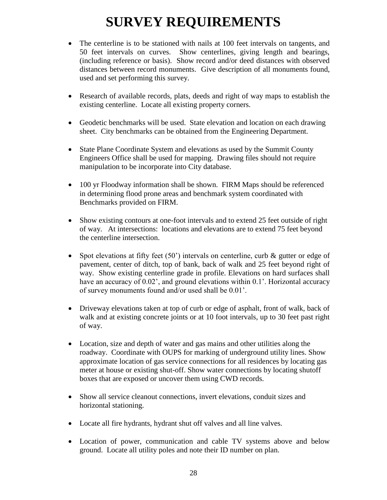# **SURVEY REQUIREMENTS**

- The centerline is to be stationed with nails at 100 feet intervals on tangents, and 50 feet intervals on curves. Show centerlines, giving length and bearings, (including reference or basis). Show record and/or deed distances with observed distances between record monuments. Give description of all monuments found, used and set performing this survey.
- Research of available records, plats, deeds and right of way maps to establish the existing centerline. Locate all existing property corners.
- Geodetic benchmarks will be used. State elevation and location on each drawing sheet. City benchmarks can be obtained from the Engineering Department.
- State Plane Coordinate System and elevations as used by the Summit County Engineers Office shall be used for mapping. Drawing files should not require manipulation to be incorporate into City database.
- 100 yr Floodway information shall be shown. FIRM Maps should be referenced in determining flood prone areas and benchmark system coordinated with Benchmarks provided on FIRM.
- Show existing contours at one-foot intervals and to extend 25 feet outside of right of way. At intersections: locations and elevations are to extend 75 feet beyond the centerline intersection.
- Spot elevations at fifty feet (50<sup>o</sup>) intervals on centerline, curb & gutter or edge of pavement, center of ditch, top of bank, back of walk and 25 feet beyond right of way. Show existing centerline grade in profile. Elevations on hard surfaces shall have an accuracy of 0.02', and ground elevations within 0.1'. Horizontal accuracy of survey monuments found and/or used shall be 0.01'.
- Driveway elevations taken at top of curb or edge of asphalt, front of walk, back of walk and at existing concrete joints or at 10 foot intervals, up to 30 feet past right of way.
- Location, size and depth of water and gas mains and other utilities along the roadway. Coordinate with OUPS for marking of underground utility lines. Show approximate location of gas service connections for all residences by locating gas meter at house or existing shut-off. Show water connections by locating shutoff boxes that are exposed or uncover them using CWD records.
- Show all service cleanout connections, invert elevations, conduit sizes and horizontal stationing.
- Locate all fire hydrants, hydrant shut off valves and all line valves.
- Location of power, communication and cable TV systems above and below ground. Locate all utility poles and note their ID number on plan.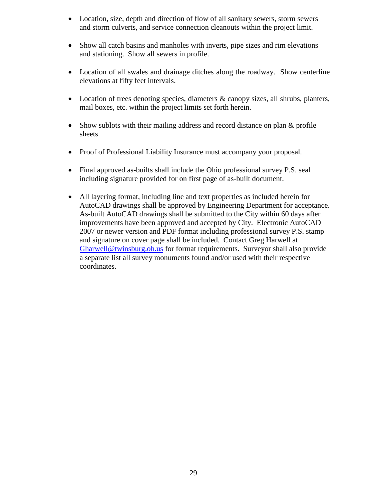- Location, size, depth and direction of flow of all sanitary sewers, storm sewers and storm culverts, and service connection cleanouts within the project limit.
- Show all catch basins and manholes with inverts, pipe sizes and rim elevations and stationing. Show all sewers in profile.
- Location of all swales and drainage ditches along the roadway. Show centerline elevations at fifty feet intervals.
- Location of trees denoting species, diameters & canopy sizes, all shrubs, planters, mail boxes, etc. within the project limits set forth herein.
- Show sublots with their mailing address and record distance on plan & profile sheets
- Proof of Professional Liability Insurance must accompany your proposal.
- Final approved as-builts shall include the Ohio professional survey P.S. seal including signature provided for on first page of as-built document.
- All layering format, including line and text properties as included herein for AutoCAD drawings shall be approved by Engineering Department for acceptance. As-built AutoCAD drawings shall be submitted to the City within 60 days after improvements have been approved and accepted by City. Electronic AutoCAD 2007 or newer version and PDF format including professional survey P.S. stamp and signature on cover page shall be included. Contact Greg Harwell at [Gharwell@twinsburg.oh.us](mailto:Gharwell@twinsburg.oh.us) for format requirements. Surveyor shall also provide a separate list all survey monuments found and/or used with their respective coordinates.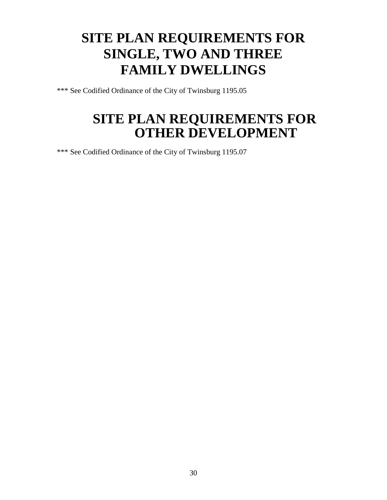# **SITE PLAN REQUIREMENTS FOR SINGLE, TWO AND THREE FAMILY DWELLINGS**

\*\*\* See Codified Ordinance of the City of Twinsburg 1195.05

# **SITE PLAN REQUIREMENTS FOR OTHER DEVELOPMENT**

\*\*\* See Codified Ordinance of the City of Twinsburg 1195.07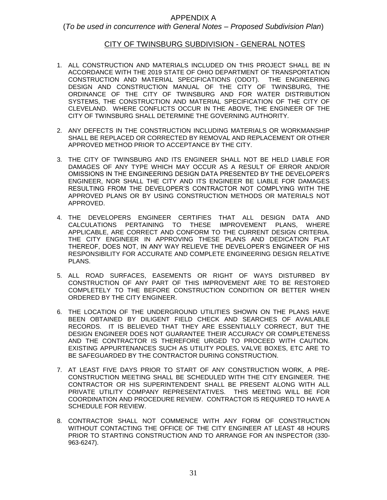#### APPENDIX A

#### (*To be used in concurrence with General Notes – Proposed Subdivision Plan*)

#### CITY OF TWINSBURG SUBDIVISION - GENERAL NOTES

- 1. ALL CONSTRUCTION AND MATERIALS INCLUDED ON THIS PROJECT SHALL BE IN ACCORDANCE WITH THE 2019 STATE OF OHIO DEPARTMENT OF TRANSPORTATION CONSTRUCTION AND MATERIAL SPECIFICATIONS (ODOT). THE ENGINEERING DESIGN AND CONSTRUCTION MANUAL OF THE CITY OF TWINSBURG, THE ORDINANCE OF THE CITY OF TWINSBURG AND FOR WATER DISTRIBUTION SYSTEMS, THE CONSTRUCTION AND MATERIAL SPECIFICATION OF THE CITY OF CLEVELAND. WHERE CONFLICTS OCCUR IN THE ABOVE, THE ENGINEER OF THE CITY OF TWINSBURG SHALL DETERMINE THE GOVERNING AUTHORITY.
- 2. ANY DEFECTS IN THE CONSTRUCTION INCLUDING MATERIALS OR WORKMANSHIP SHALL BE REPLACED OR CORRECTED BY REMOVAL AND REPLACEMENT OR OTHER APPROVED METHOD PRIOR TO ACCEPTANCE BY THE CITY.
- 3. THE CITY OF TWINSBURG AND ITS ENGINEER SHALL NOT BE HELD LIABLE FOR DAMAGES OF ANY TYPE WHICH MAY OCCUR AS A RESULT OF ERROR AND/OR OMISSIONS IN THE ENGINEERING DESIGN DATA PRESENTED BY THE DEVELOPER'S ENGINEER, NOR SHALL THE CITY AND ITS ENGINEER BE LIABLE FOR DAMAGES RESULTING FROM THE DEVELOPER'S CONTRACTOR NOT COMPLYING WITH THE APPROVED PLANS OR BY USING CONSTRUCTION METHODS OR MATERIALS NOT APPROVED.
- 4. THE DEVELOPERS ENGINEER CERTIFIES THAT ALL DESIGN DATA AND CALCULATIONS PERTAINING TO THESE IMPROVEMENT PLANS, WHERE APPLICABLE, ARE CORRECT AND CONFORM TO THE CURRENT DESIGN CRITERIA. THE CITY ENGINEER IN APPROVING THESE PLANS AND DEDICATION PLAT THEREOF, DOES NOT, IN ANY WAY RELIEVE THE DEVELOPER'S ENGINEER OF HIS RESPONSIBILITY FOR ACCURATE AND COMPLETE ENGINEERING DESIGN RELATIVE PLANS.
- 5. ALL ROAD SURFACES, EASEMENTS OR RIGHT OF WAYS DISTURBED BY CONSTRUCTION OF ANY PART OF THIS IMPROVEMENT ARE TO BE RESTORED COMPLETELY TO THE BEFORE CONSTRUCTION CONDITION OR BETTER WHEN ORDERED BY THE CITY ENGINEER.
- 6. THE LOCATION OF THE UNDERGROUND UTILITIES SHOWN ON THE PLANS HAVE BEEN OBTAINED BY DILIGENT FIELD CHECK AND SEARCHES OF AVAILABLE RECORDS. IT IS BELIEVED THAT THEY ARE ESSENTIALLY CORRECT, BUT THE DESIGN ENGINEER DOES NOT GUARANTEE THEIR ACCURACY OR COMPLETENESS AND THE CONTRACTOR IS THEREFORE URGED TO PROCEED WITH CAUTION. EXISTING APPURTENANCES SUCH AS UTILITY POLES, VALVE BOXES, ETC ARE TO BE SAFEGUARDED BY THE CONTRACTOR DURING CONSTRUCTION.
- 7. AT LEAST FIVE DAYS PRIOR TO START OF ANY CONSTRUCTION WORK, A PRE-CONSTRUCTION MEETING SHALL BE SCHEDULED WITH THE CITY ENGINEER. THE CONTRACTOR OR HIS SUPERINTENDENT SHALL BE PRESENT ALONG WITH ALL PRIVATE UTILITY COMPANY REPRESENTATIVES. THIS MEETING WILL BE FOR COORDINATION AND PROCEDURE REVIEW. CONTRACTOR IS REQUIRED TO HAVE A SCHEDULE FOR REVIEW.
- 8. CONTRACTOR SHALL NOT COMMENCE WITH ANY FORM OF CONSTRUCTION WITHOUT CONTACTING THE OFFICE OF THE CITY ENGINEER AT LEAST 48 HOURS PRIOR TO STARTING CONSTRUCTION AND TO ARRANGE FOR AN INSPECTOR (330- 963-6247).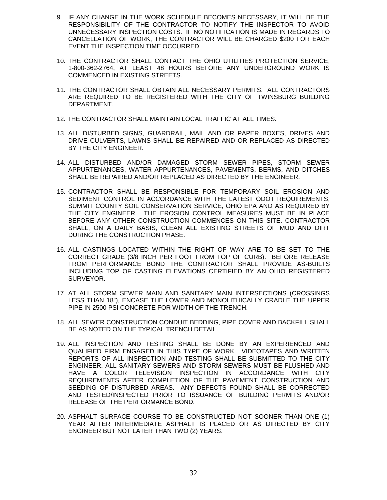- 9. IF ANY CHANGE IN THE WORK SCHEDULE BECOMES NECESSARY, IT WILL BE THE RESPONSIBILITY OF THE CONTRACTOR TO NOTIFY THE INSPECTOR TO AVOID UNNECESSARY INSPECTION COSTS. IF NO NOTIFICATION IS MADE IN REGARDS TO CANCELLATION OF WORK, THE CONTRACTOR WILL BE CHARGED \$200 FOR EACH EVENT THE INSPECTION TIME OCCURRED.
- 10. THE CONTRACTOR SHALL CONTACT THE OHIO UTILITIES PROTECTION SERVICE, 1-800-362-2764, AT LEAST 48 HOURS BEFORE ANY UNDERGROUND WORK IS COMMENCED IN EXISTING STREETS.
- 11. THE CONTRACTOR SHALL OBTAIN ALL NECESSARY PERMITS. ALL CONTRACTORS ARE REQUIRED TO BE REGISTERED WITH THE CITY OF TWINSBURG BUILDING DEPARTMENT.
- 12. THE CONTRACTOR SHALL MAINTAIN LOCAL TRAFFIC AT ALL TIMES.
- 13. ALL DISTURBED SIGNS, GUARDRAIL, MAIL AND OR PAPER BOXES, DRIVES AND DRIVE CULVERTS, LAWNS SHALL BE REPAIRED AND OR REPLACED AS DIRECTED BY THE CITY ENGINEER.
- 14. ALL DISTURBED AND/OR DAMAGED STORM SEWER PIPES, STORM SEWER APPURTENANCES, WATER APPURTENANCES, PAVEMENTS, BERMS, AND DITCHES SHALL BE REPAIRED AND/OR REPLACED AS DIRECTED BY THE ENGINEER.
- 15. CONTRACTOR SHALL BE RESPONSIBLE FOR TEMPORARY SOIL EROSION AND SEDIMENT CONTROL IN ACCORDANCE WITH THE LATEST ODOT REQUIREMENTS, SUMMIT COUNTY SOIL CONSERVATION SERVICE, OHIO EPA AND AS REQUIRED BY THE CITY ENGINEER. THE EROSION CONTROL MEASURES MUST BE IN PLACE BEFORE ANY OTHER CONSTRUCTION COMMENCES ON THIS SITE. CONTRACTOR SHALL, ON A DAILY BASIS, CLEAN ALL EXISTING STREETS OF MUD AND DIRT DURING THE CONSTRUCTION PHASE.
- 16. ALL CASTINGS LOCATED WITHIN THE RIGHT OF WAY ARE TO BE SET TO THE CORRECT GRADE (3/8 INCH PER FOOT FROM TOP OF CURB). BEFORE RELEASE FROM PERFORMANCE BOND THE CONTRACTOR SHALL PROVIDE AS-BUILTS INCLUDING TOP OF CASTING ELEVATIONS CERTIFIED BY AN OHIO REGISTERED SURVEYOR.
- 17. AT ALL STORM SEWER MAIN AND SANITARY MAIN INTERSECTIONS (CROSSINGS LESS THAN 18"), ENCASE THE LOWER AND MONOLITHICALLY CRADLE THE UPPER PIPE IN 2500 PSI CONCRETE FOR WIDTH OF THE TRENCH.
- 18. ALL SEWER CONSTRUCTION CONDUIT BEDDING, PIPE COVER AND BACKFILL SHALL BE AS NOTED ON THE TYPICAL TRENCH DETAIL.
- 19. ALL INSPECTION AND TESTING SHALL BE DONE BY AN EXPERIENCED AND QUALIFIED FIRM ENGAGED IN THIS TYPE OF WORK. VIDEOTAPES AND WRITTEN REPORTS OF ALL INSPECTION AND TESTING SHALL BE SUBMITTED TO THE CITY ENGINEER. ALL SANITARY SEWERS AND STORM SEWERS MUST BE FLUSHED AND HAVE A COLOR TELEVISION INSPECTION IN ACCORDANCE WITH CITY REQUIREMENTS AFTER COMPLETION OF THE PAVEMENT CONSTRUCTION AND SEEDING OF DISTURBED AREAS. ANY DEFECTS FOUND SHALL BE CORRECTED AND TESTED/INSPECTED PRIOR TO ISSUANCE OF BUILDING PERMITS AND/OR RELEASE OF THE PERFORMANCE BOND.
- 20. ASPHALT SURFACE COURSE TO BE CONSTRUCTED NOT SOONER THAN ONE (1) YEAR AFTER INTERMEDIATE ASPHALT IS PLACED OR AS DIRECTED BY CITY ENGINEER BUT NOT LATER THAN TWO (2) YEARS.